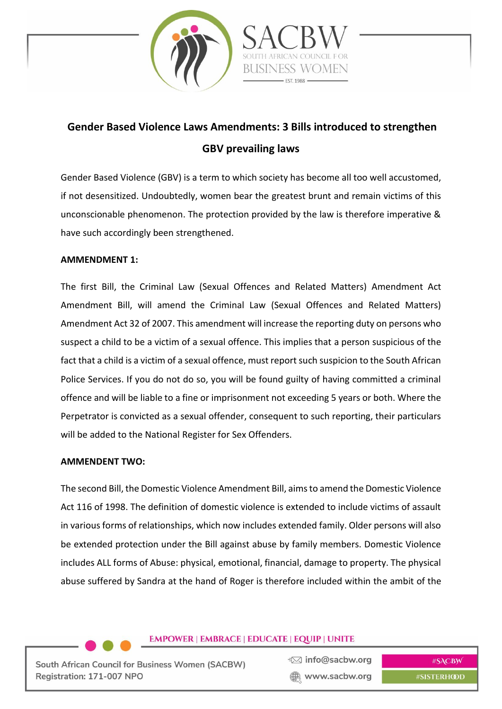

# **Gender Based Violence Laws Amendments: 3 Bills introduced to strengthen GBV prevailing laws**

Gender Based Violence (GBV) is a term to which society has become all too well accustomed, if not desensitized. Undoubtedly, women bear the greatest brunt and remain victims of this unconscionable phenomenon. The protection provided by the law is therefore imperative & have such accordingly been strengthened.

#### **AMMENDMENT 1:**

The first Bill, the Criminal Law (Sexual Offences and Related Matters) Amendment Act Amendment Bill, will amend the Criminal Law (Sexual Offences and Related Matters) Amendment Act 32 of 2007. This amendment will increase the reporting duty on persons who suspect a child to be a victim of a sexual offence. This implies that a person suspicious of the fact that a child is a victim of a sexual offence, must report such suspicion to the South African Police Services. If you do not do so, you will be found guilty of having committed a criminal offence and will be liable to a fine or imprisonment not exceeding 5 years or both. Where the Perpetrator is convicted as a sexual offender, consequent to such reporting, their particulars will be added to the National Register for Sex Offenders.

#### **AMMENDENT TWO:**

The second Bill, the Domestic Violence Amendment Bill, aims to amend the Domestic Violence Act 116 of 1998. The definition of domestic violence is extended to include victims of assault in various forms of relationships, which now includes extended family. Older persons will also be extended protection under the Bill against abuse by family members. Domestic Violence includes ALL forms of Abuse: physical, emotional, financial, damage to property. The physical abuse suffered by Sandra at the hand of Roger is therefore included within the ambit of the

## **EMPOWER | EMBRACE | EDUCATE | EQUIP | UNITE**

South African Council for Business Women (SACBW) Registration: 171-007 NPO

₹⊠ info@sacbw.org www.sacbw.org